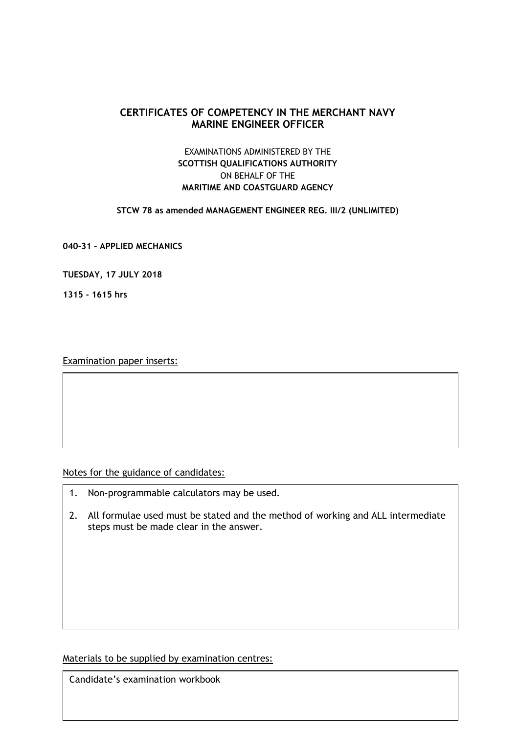# **CERTIFICATES OF COMPETENCY IN THE MERCHANT NAVY MARINE ENGINEER OFFICER**

# EXAMINATIONS ADMINISTERED BY THE **SCOTTISH QUALIFICATIONS AUTHORITY** ON BEHALF OF THE **MARITIME AND COASTGUARD AGENCY**

### **STCW 78 as amended MANAGEMENT ENGINEER REG. III/2 (UNLIMITED)**

**040-31 – APPLIED MECHANICS**

**TUESDAY, 17 JULY 2018**

**1315 - 1615 hrs**

Examination paper inserts:

Notes for the guidance of candidates:

- 1. Non-programmable calculators may be used.
- 2. All formulae used must be stated and the method of working and ALL intermediate steps must be made clear in the answer.

Materials to be supplied by examination centres:

Candidate's examination workbook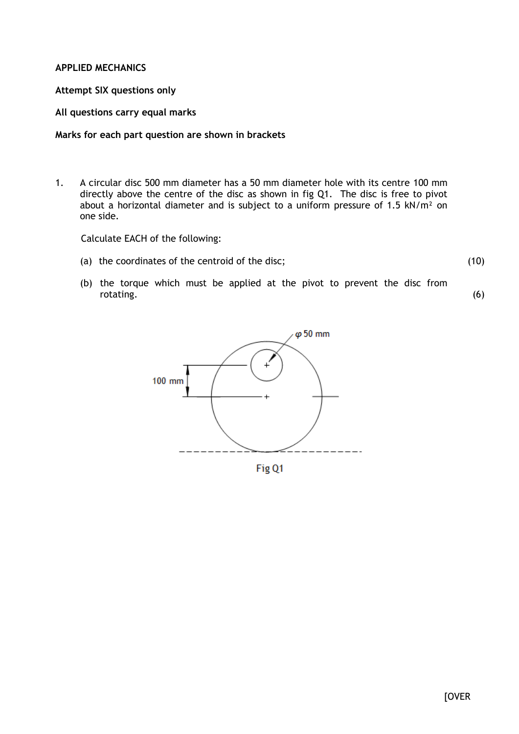## **APPLIED MECHANICS**

## **Attempt SIX questions only**

## **All questions carry equal marks**

### **Marks for each part question are shown in brackets**

1. A circular disc 500 mm diameter has a 50 mm diameter hole with its centre 100 mm directly above the centre of the disc as shown in fig Q1. The disc is free to pivot about a horizontal diameter and is subject to a uniform pressure of 1.5  $kN/m^2$  on one side.

Calculate EACH of the following:

(a) the coordinates of the centroid of the disc;

(10)

(6)

(b) the torque which must be applied at the pivot to prevent the disc from rotating.



Fig Q1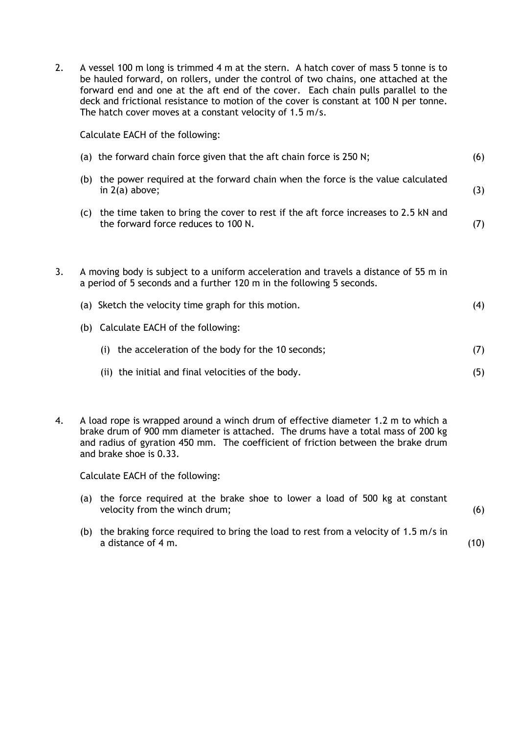2. A vessel 100 m long is trimmed 4 m at the stern. A hatch cover of mass 5 tonne is to be hauled forward, on rollers, under the control of two chains, one attached at the forward end and one at the aft end of the cover. Each chain pulls parallel to the deck and frictional resistance to motion of the cover is constant at 100 N per tonne. The hatch cover moves at a constant velocity of 1.5 m/s.

Calculate EACH of the following:

|    |     | (a) the forward chain force given that the aft chain force is 250 N;                                                                                          | (6) |
|----|-----|---------------------------------------------------------------------------------------------------------------------------------------------------------------|-----|
|    | (b) | the power required at the forward chain when the force is the value calculated<br>in $2(a)$ above;                                                            | (3) |
|    | (C) | the time taken to bring the cover to rest if the aft force increases to 2.5 kN and<br>the forward force reduces to 100 N.                                     | (7) |
| 3. |     | A moving body is subject to a uniform acceleration and travels a distance of 55 m in<br>a period of 5 seconds and a further 120 m in the following 5 seconds. |     |
|    |     | (a) Sketch the velocity time graph for this motion.                                                                                                           | (4) |
|    |     | (b) Calculate EACH of the following:                                                                                                                          |     |
|    |     | the acceleration of the body for the 10 seconds;<br>(i)                                                                                                       | (7) |
|    |     | (ii) the initial and final velocities of the body.                                                                                                            | (5) |
|    |     |                                                                                                                                                               |     |

4. A load rope is wrapped around a winch drum of effective diameter 1.2 m to which a brake drum of 900 mm diameter is attached. The drums have a total mass of 200 kg and radius of gyration 450 mm. The coefficient of friction between the brake drum and brake shoe is 0.33.

Calculate EACH of the following:

- (a) the force required at the brake shoe to lower a load of 500 kg at constant velocity from the winch drum;
- (b) the braking force required to bring the load to rest from a velocity of 1.5 m/s in a distance of 4 m.

(10)

(6)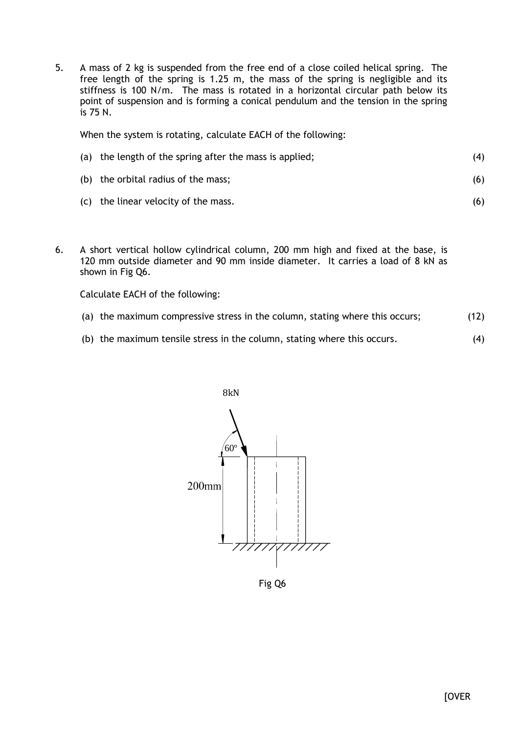5. A mass of 2 kg is suspended from the free end of a close coiled helical spring. The free length of the spring is 1.25 m, the mass of the spring is negligible and its stiffness is 100 N/m. The mass is rotated in a horizontal circular path below its point of suspension and is forming a conical pendulum and the tension in the spring is 75 N.

When the system is rotating, calculate EACH of the following:

| (a) the length of the spring after the mass is applied; | (4) |
|---------------------------------------------------------|-----|
| (b) the orbital radius of the mass;                     | (6) |
| (c) the linear velocity of the mass.                    | (6) |

6. A short vertical hollow cylindrical column, 200 mm high and fixed at the base, is 120 mm outside diameter and 90 mm inside diameter. It carries a load of 8 kN as shown in Fig Q6.

Calculate EACH of the following:

- (a) the maximum compressive stress in the column, stating where this occurs; (12)
- (b) the maximum tensile stress in the column, stating where this occurs. (4)



Fig Q6